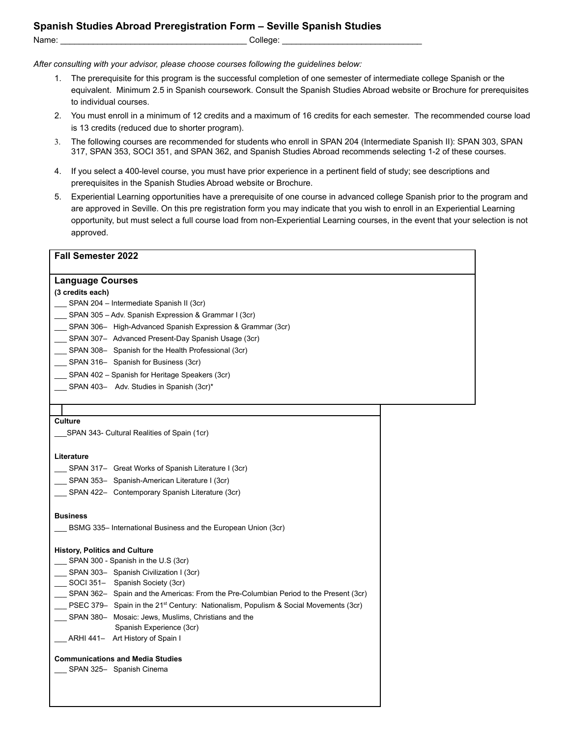*After consulting with your advisor, please choose courses following the guidelines below:*

- 1. The prerequisite for this program is the successful completion of one semester of intermediate college Spanish or the equivalent. Minimum 2.5 in Spanish coursework. Consult the Spanish Studies Abroad website or Brochure for prerequisites to individual courses.
- 2. You must enroll in a minimum of 12 credits and a maximum of 16 credits for each semester. The recommended course load is 13 credits (reduced due to shorter program).
- 3. The following courses are recommended for students who enroll in SPAN 204 (Intermediate Spanish II): SPAN 303, SPAN 317, SPAN 353, SOCI 351, and SPAN 362, and Spanish Studies Abroad recommends selecting 1-2 of these courses.
- 4. If you select a 400-level course, you must have prior experience in a pertinent field of study; see descriptions and prerequisites in the Spanish Studies Abroad website or Brochure.
- 5. Experiential Learning opportunities have a prerequisite of one course in advanced college Spanish prior to the program and are approved in Seville. On this pre registration form you may indicate that you wish to enroll in an Experiential Learning opportunity, but must select a full course load from non-Experiential Learning courses, in the event that your selection is not approved.

## **Fall Semester 2022**

# **Language Courses**

## **(3 credits each)**

- \_\_\_ SPAN 204 Intermediate Spanish II (3cr)
- \_\_\_ SPAN 305 Adv. Spanish Expression & Grammar I (3cr)
- SPAN 306- High-Advanced Spanish Expression & Grammar (3cr)
- \_\_\_ SPAN 307– Advanced Present-Day Spanish Usage (3cr)
- SPAN 308– Spanish for the Health Professional (3cr)
- \_\_\_ SPAN 316– Spanish for Business (3cr)
- SPAN 402 Spanish for Heritage Speakers (3cr)
- \_\_\_ SPAN 403– Adv. Studies in Spanish (3cr)\*

#### **Culture**

\_\_\_SPAN 343- Cultural Realities of Spain (1cr)

#### **Literature**

- \_\_\_ SPAN 317– Great Works of Spanish Literature I (3cr)
- \_\_\_ SPAN 353– Spanish-American Literature I (3cr)
- \_\_\_ SPAN 422– Contemporary Spanish Literature (3cr)

## **Business**

\_\_\_ BSMG 335– International Business and the European Union (3cr)

## **History, Politics and Culture**

- \_\_\_ SPAN 300 Spanish in the U.S (3cr)
- SPAN 303– Spanish Civilization I (3cr)
- SOCI 351– Spanish Society (3cr)
- \_\_\_ SPAN 362– Spain and the Americas: From the Pre-Columbian Period to the Present (3cr)
- $\mu$  PSEC 379- Spain in the 21<sup>st</sup> Century: Nationalism, Populism & Social Movements (3cr)
- SPAN 380– Mosaic: Jews, Muslims, Christians and the
- Spanish Experience (3cr)
- \_\_\_ ARHI 441- Art History of Spain I

## **Communications and Media Studies**

\_\_\_ SPAN 325- Spanish Cinema